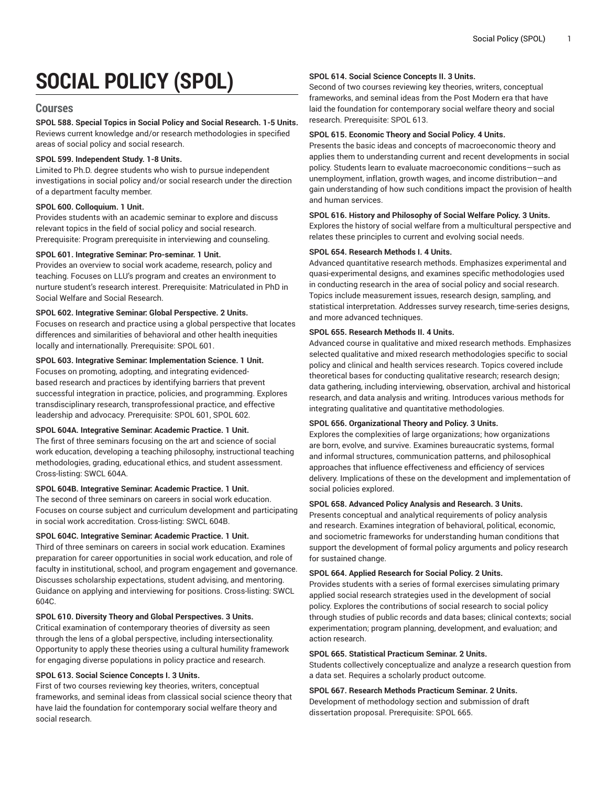# **SOCIAL POLICY (SPOL)**

# **Courses**

**SPOL 588. Special Topics in Social Policy and Social Research. 1-5 Units.** Reviews current knowledge and/or research methodologies in specified areas of social policy and social research.

# **SPOL 599. Independent Study. 1-8 Units.**

Limited to Ph.D. degree students who wish to pursue independent investigations in social policy and/or social research under the direction of a department faculty member.

# **SPOL 600. Colloquium. 1 Unit.**

Provides students with an academic seminar to explore and discuss relevant topics in the field of social policy and social research. Prerequisite: Program prerequisite in interviewing and counseling.

# **SPOL 601. Integrative Seminar: Pro-seminar. 1 Unit.**

Provides an overview to social work academe, research, policy and teaching. Focuses on LLU's program and creates an environment to nurture student's research interest. Prerequisite: Matriculated in PhD in Social Welfare and Social Research.

# **SPOL 602. Integrative Seminar: Global Perspective. 2 Units.**

Focuses on research and practice using a global perspective that locates differences and similarities of behavioral and other health inequities locally and internationally. Prerequisite: SPOL 601.

# **SPOL 603. Integrative Seminar: Implementation Science. 1 Unit.**

Focuses on promoting, adopting, and integrating evidencedbased research and practices by identifying barriers that prevent successful integration in practice, policies, and programming. Explores transdisciplinary research, transprofessional practice, and effective leadership and advocacy. Prerequisite: SPOL 601, SPOL 602.

# **SPOL 604A. Integrative Seminar: Academic Practice. 1 Unit.**

The first of three seminars focusing on the art and science of social work education, developing a teaching philosophy, instructional teaching methodologies, grading, educational ethics, and student assessment. Cross-listing: SWCL 604A.

# **SPOL 604B. Integrative Seminar: Academic Practice. 1 Unit.**

The second of three seminars on careers in social work education. Focuses on course subject and curriculum development and participating in social work accreditation. Cross-listing: SWCL 604B.

#### **SPOL 604C. Integrative Seminar: Academic Practice. 1 Unit.**

Third of three seminars on careers in social work education. Examines preparation for career opportunities in social work education, and role of faculty in institutional, school, and program engagement and governance. Discusses scholarship expectations, student advising, and mentoring. Guidance on applying and interviewing for positions. Cross-listing: SWCL 604C.

# **SPOL 610. Diversity Theory and Global Perspectives. 3 Units.**

Critical examination of contemporary theories of diversity as seen through the lens of a global perspective, including intersectionality. Opportunity to apply these theories using a cultural humility framework for engaging diverse populations in policy practice and research.

#### **SPOL 613. Social Science Concepts I. 3 Units.**

First of two courses reviewing key theories, writers, conceptual frameworks, and seminal ideas from classical social science theory that have laid the foundation for contemporary social welfare theory and social research.

#### **SPOL 614. Social Science Concepts II. 3 Units.**

Second of two courses reviewing key theories, writers, conceptual frameworks, and seminal ideas from the Post Modern era that have laid the foundation for contemporary social welfare theory and social research. Prerequisite: SPOL 613.

## **SPOL 615. Economic Theory and Social Policy. 4 Units.**

Presents the basic ideas and concepts of macroeconomic theory and applies them to understanding current and recent developments in social policy. Students learn to evaluate macroeconomic conditions—such as unemployment, inflation, growth wages, and income distribution—and gain understanding of how such conditions impact the provision of health and human services.

#### **SPOL 616. History and Philosophy of Social Welfare Policy. 3 Units.**

Explores the history of social welfare from a multicultural perspective and relates these principles to current and evolving social needs.

# **SPOL 654. Research Methods I. 4 Units.**

Advanced quantitative research methods. Emphasizes experimental and quasi-experimental designs, and examines specific methodologies used in conducting research in the area of social policy and social research. Topics include measurement issues, research design, sampling, and statistical interpretation. Addresses survey research, time-series designs, and more advanced techniques.

#### **SPOL 655. Research Methods II. 4 Units.**

Advanced course in qualitative and mixed research methods. Emphasizes selected qualitative and mixed research methodologies specific to social policy and clinical and health services research. Topics covered include theoretical bases for conducting qualitative research; research design; data gathering, including interviewing, observation, archival and historical research, and data analysis and writing. Introduces various methods for integrating qualitative and quantitative methodologies.

#### **SPOL 656. Organizational Theory and Policy. 3 Units.**

Explores the complexities of large organizations; how organizations are born, evolve, and survive. Examines bureaucratic systems, formal and informal structures, communication patterns, and philosophical approaches that influence effectiveness and efficiency of services delivery. Implications of these on the development and implementation of social policies explored.

#### **SPOL 658. Advanced Policy Analysis and Research. 3 Units.**

Presents conceptual and analytical requirements of policy analysis and research. Examines integration of behavioral, political, economic, and sociometric frameworks for understanding human conditions that support the development of formal policy arguments and policy research for sustained change.

#### **SPOL 664. Applied Research for Social Policy. 2 Units.**

Provides students with a series of formal exercises simulating primary applied social research strategies used in the development of social policy. Explores the contributions of social research to social policy through studies of public records and data bases; clinical contexts; social experimentation; program planning, development, and evaluation; and action research.

# **SPOL 665. Statistical Practicum Seminar. 2 Units.**

Students collectively conceptualize and analyze a research question from a data set. Requires a scholarly product outcome.

**SPOL 667. Research Methods Practicum Seminar. 2 Units.** Development of methodology section and submission of draft

dissertation proposal. Prerequisite: SPOL 665.